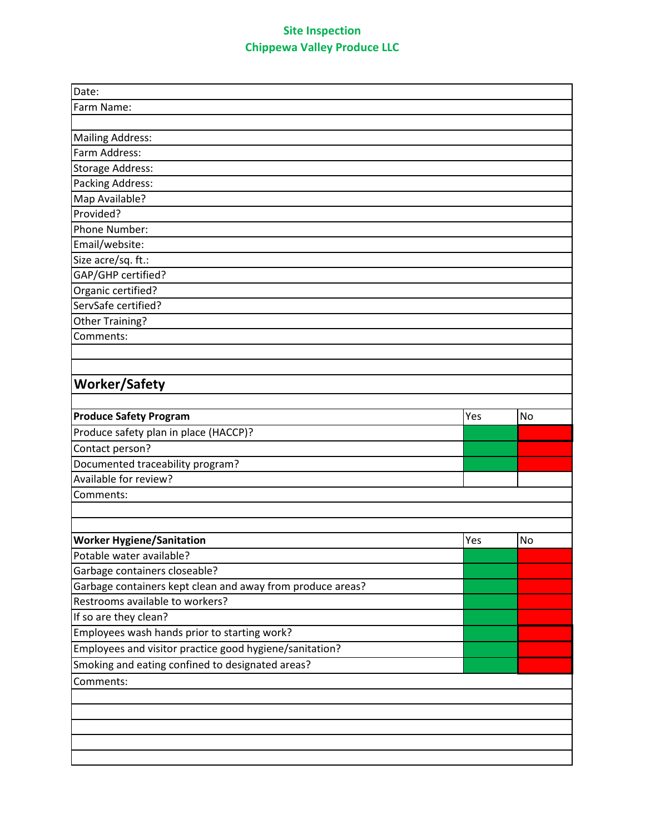## **Site Inspection Chippewa Valley Produce LLC**

| Date:                                                      |     |           |
|------------------------------------------------------------|-----|-----------|
| Farm Name:                                                 |     |           |
|                                                            |     |           |
| <b>Mailing Address:</b>                                    |     |           |
| Farm Address:                                              |     |           |
| <b>Storage Address:</b>                                    |     |           |
| Packing Address:                                           |     |           |
| Map Available?                                             |     |           |
| Provided?                                                  |     |           |
| Phone Number:                                              |     |           |
| Email/website:                                             |     |           |
| Size acre/sq. ft.:                                         |     |           |
| GAP/GHP certified?                                         |     |           |
| Organic certified?                                         |     |           |
| ServSafe certified?                                        |     |           |
| Other Training?                                            |     |           |
| Comments:                                                  |     |           |
|                                                            |     |           |
|                                                            |     |           |
| <b>Worker/Safety</b>                                       |     |           |
|                                                            |     |           |
| <b>Produce Safety Program</b>                              | Yes | <b>No</b> |
| Produce safety plan in place (HACCP)?                      |     |           |
| Contact person?                                            |     |           |
| Documented traceability program?                           |     |           |
| Available for review?                                      |     |           |
| Comments:                                                  |     |           |
|                                                            |     |           |
|                                                            |     |           |
| <b>Worker Hygiene/Sanitation</b>                           | Yes | <b>No</b> |
| Potable water available?                                   |     |           |
| Garbage containers closeable?                              |     |           |
| Garbage containers kept clean and away from produce areas? |     |           |
| Restrooms available to workers?                            |     |           |
| If so are they clean?                                      |     |           |
| Employees wash hands prior to starting work?               |     |           |
| Employees and visitor practice good hygiene/sanitation?    |     |           |
| Smoking and eating confined to designated areas?           |     |           |
| Comments:                                                  |     |           |
|                                                            |     |           |
|                                                            |     |           |
|                                                            |     |           |
|                                                            |     |           |
|                                                            |     |           |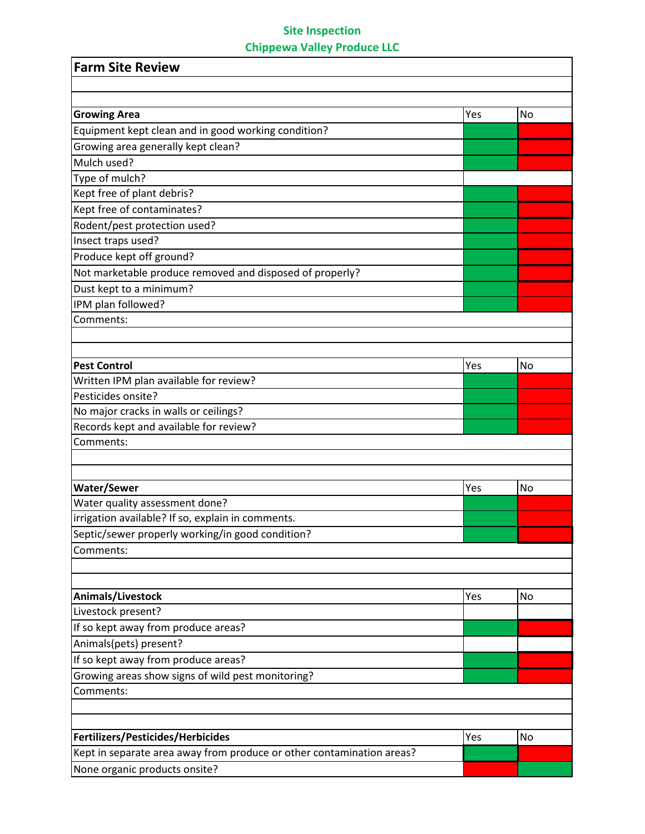## **Site Inspection Chippewa Valley Produce LLC**

| <b>Farm Site Review</b>                                               |     |           |  |
|-----------------------------------------------------------------------|-----|-----------|--|
|                                                                       |     |           |  |
|                                                                       |     |           |  |
| <b>Growing Area</b>                                                   | Yes | No        |  |
| Equipment kept clean and in good working condition?                   |     |           |  |
| Growing area generally kept clean?                                    |     |           |  |
| Mulch used?                                                           |     |           |  |
| Type of mulch?                                                        |     |           |  |
| Kept free of plant debris?                                            |     |           |  |
| Kept free of contaminates?                                            |     |           |  |
| Rodent/pest protection used?                                          |     |           |  |
| Insect traps used?                                                    |     |           |  |
| Produce kept off ground?                                              |     |           |  |
| Not marketable produce removed and disposed of properly?              |     |           |  |
| Dust kept to a minimum?                                               |     |           |  |
| IPM plan followed?                                                    |     |           |  |
| Comments:                                                             |     |           |  |
|                                                                       |     |           |  |
|                                                                       |     |           |  |
| <b>Pest Control</b>                                                   | Yes | <b>No</b> |  |
| Written IPM plan available for review?                                |     |           |  |
| Pesticides onsite?                                                    |     |           |  |
| No major cracks in walls or ceilings?                                 |     |           |  |
| Records kept and available for review?                                |     |           |  |
| Comments:                                                             |     |           |  |
|                                                                       |     |           |  |
|                                                                       |     |           |  |
| <b>Water/Sewer</b>                                                    | Yes | No        |  |
| Water quality assessment done?                                        |     |           |  |
| irrigation available? If so, explain in comments.                     |     |           |  |
| Septic/sewer properly working/in good condition?                      |     |           |  |
| Comments:                                                             |     |           |  |
|                                                                       |     |           |  |
| Animals/Livestock                                                     | Yes | No        |  |
| Livestock present?                                                    |     |           |  |
| If so kept away from produce areas?                                   |     |           |  |
| Animals(pets) present?                                                |     |           |  |
|                                                                       |     |           |  |
| If so kept away from produce areas?                                   |     |           |  |
| Growing areas show signs of wild pest monitoring?                     |     |           |  |
| Comments:                                                             |     |           |  |
|                                                                       |     |           |  |
|                                                                       | Yes | No        |  |
| Fertilizers/Pesticides/Herbicides                                     |     |           |  |
| Kept in separate area away from produce or other contamination areas? |     |           |  |
| None organic products onsite?                                         |     |           |  |